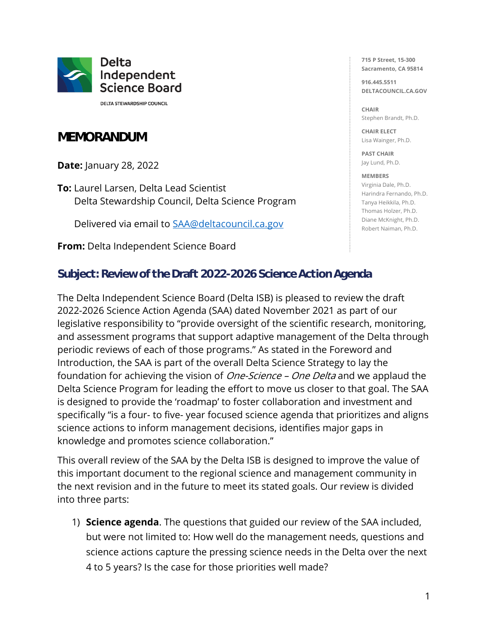

**DELTA STEWARDSHIP COUNCIL** 

# **MEMORANDUM**

**Date:** January 28, 2022

**To:** Laurel Larsen, Delta Lead Scientist Delta Stewardship Council, Delta Science Program

Delivered via email to [SAA@deltacouncil.ca.gov](mailto:SAA@deltacouncil.ca.gov)

**From:** Delta Independent Science Board

**715 P Street, 15-300 Sacramento, CA 95814**

**916.445.5511 DELTACOUNCIL.CA.GOV**

**CHAIR** Stephen Brandt, Ph.D.

**CHAIR ELECT** Lisa Wainger, Ph.D.

**PAST CHAIR** Jay Lund, Ph.D.

#### **MEMBERS**

Virginia Dale, Ph.D. Harindra Fernando, Ph.D. Tanya Heikkila, Ph.D. Thomas Holzer, Ph.D. Diane McKnight, Ph.D. Robert Naiman, Ph.D.

# **Subject: Review of the Draft 2022-2026 Science Action Agenda**

The Delta Independent Science Board (Delta ISB) is pleased to review the draft 2022-2026 Science Action Agenda (SAA) dated November 2021 as part of our legislative responsibility to "provide oversight of the scientific research, monitoring, and assessment programs that support adaptive management of the Delta through periodic reviews of each of those programs." As stated in the Foreword and Introduction, the SAA is part of the overall Delta Science Strategy to lay the foundation for achieving the vision of *One-Science – One Delta* and we applaud the Delta Science Program for leading the effort to move us closer to that goal. The SAA is designed to provide the 'roadmap' to foster collaboration and investment and specifically "is a four- to five- year focused science agenda that prioritizes and aligns science actions to inform management decisions, identifies major gaps in knowledge and promotes science collaboration."

This overall review of the SAA by the Delta ISB is designed to improve the value of this important document to the regional science and management community in the next revision and in the future to meet its stated goals. Our review is divided into three parts:

1) **Science agenda**. The questions that guided our review of the SAA included, but were not limited to: How well do the management needs, questions and science actions capture the pressing science needs in the Delta over the next 4 to 5 years? Is the case for those priorities well made?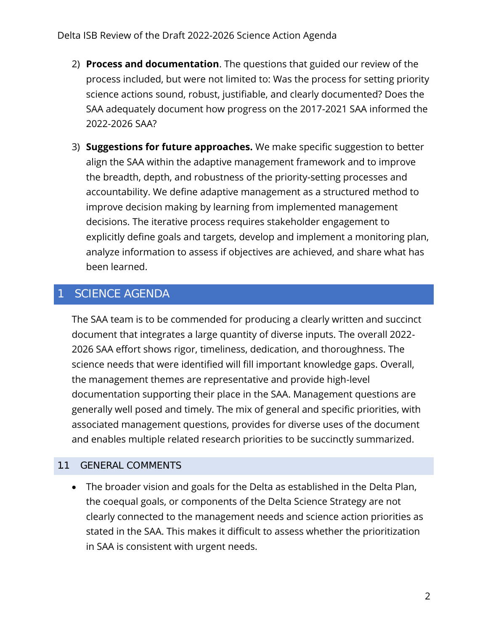- 2) **Process and documentation**. The questions that guided our review of the process included, but were not limited to: Was the process for setting priority science actions sound, robust, justifiable, and clearly documented? Does the SAA adequately document how progress on the 2017-2021 SAA informed the 2022-2026 SAA?
- 3) **Suggestions for future approaches.** We make specific suggestion to better align the SAA within the adaptive management framework and to improve the breadth, depth, and robustness of the priority-setting processes and accountability. We define adaptive management as a structured method to improve decision making by learning from implemented management decisions. The iterative process requires stakeholder engagement to explicitly define goals and targets, develop and implement a monitoring plan, analyze information to assess if objectives are achieved, and share what has been learned.

# SCIENCE AGENDA

The SAA team is to be commended for producing a clearly written and succinct document that integrates a large quantity of diverse inputs. The overall 2022- 2026 SAA effort shows rigor, timeliness, dedication, and thoroughness. The science needs that were identified will fill important knowledge gaps. Overall, the management themes are representative and provide high-level documentation supporting their place in the SAA. Management questions are generally well posed and timely. The mix of general and specific priorities, with associated management questions, provides for diverse uses of the document and enables multiple related research priorities to be succinctly summarized.

### 1.1 GENERAL COMMENTS

• The broader vision and goals for the Delta as established in the Delta Plan, the coequal goals, or components of the Delta Science Strategy are not clearly connected to the management needs and science action priorities as stated in the SAA. This makes it difficult to assess whether the prioritization in SAA is consistent with urgent needs.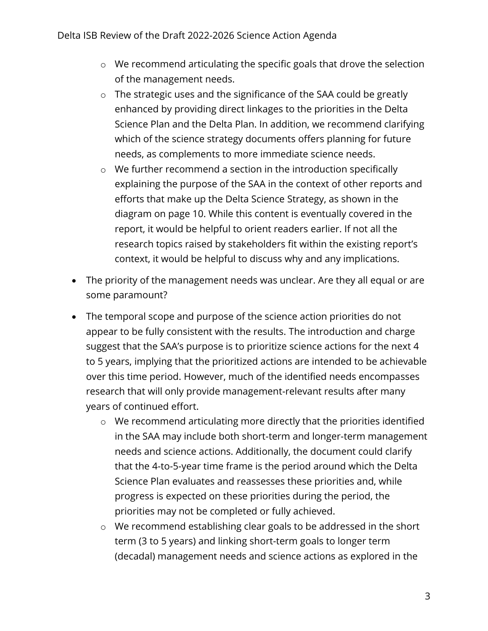- o We recommend articulating the specific goals that drove the selection of the management needs.
- o The strategic uses and the significance of the SAA could be greatly enhanced by providing direct linkages to the priorities in the Delta Science Plan and the Delta Plan. In addition, we recommend clarifying which of the science strategy documents offers planning for future needs, as complements to more immediate science needs.
- o We further recommend a section in the introduction specifically explaining the purpose of the SAA in the context of other reports and efforts that make up the Delta Science Strategy, as shown in the diagram on page 10. While this content is eventually covered in the report, it would be helpful to orient readers earlier. If not all the research topics raised by stakeholders fit within the existing report's context, it would be helpful to discuss why and any implications.
- The priority of the management needs was unclear. Are they all equal or are some paramount?
- The temporal scope and purpose of the science action priorities do not appear to be fully consistent with the results. The introduction and charge suggest that the SAA's purpose is to prioritize science actions for the next 4 to 5 years, implying that the prioritized actions are intended to be achievable over this time period. However, much of the identified needs encompasses research that will only provide management-relevant results after many years of continued effort.
	- o We recommend articulating more directly that the priorities identified in the SAA may include both short-term and longer-term management needs and science actions. Additionally, the document could clarify that the 4-to-5-year time frame is the period around which the Delta Science Plan evaluates and reassesses these priorities and, while progress is expected on these priorities during the period, the priorities may not be completed or fully achieved.
	- o We recommend establishing clear goals to be addressed in the short term (3 to 5 years) and linking short-term goals to longer term (decadal) management needs and science actions as explored in the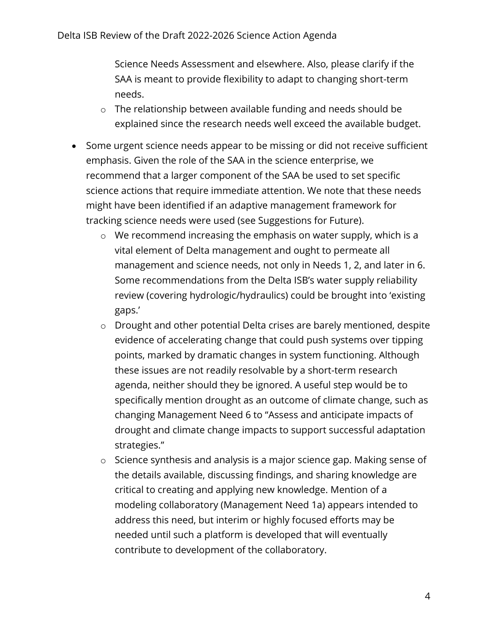Science Needs Assessment and elsewhere. Also, please clarify if the SAA is meant to provide flexibility to adapt to changing short-term needs.

- o The relationship between available funding and needs should be explained since the research needs well exceed the available budget.
- Some urgent science needs appear to be missing or did not receive sufficient emphasis. Given the role of the SAA in the science enterprise, we recommend that a larger component of the SAA be used to set specific science actions that require immediate attention. We note that these needs might have been identified if an adaptive management framework for tracking science needs were used (see Suggestions for Future).
	- o We recommend increasing the emphasis on water supply, which is a vital element of Delta management and ought to permeate all management and science needs, not only in Needs 1, 2, and later in 6. Some recommendations from the Delta ISB's water supply reliability review (covering hydrologic/hydraulics) could be brought into 'existing gaps.'
	- o Drought and other potential Delta crises are barely mentioned, despite evidence of accelerating change that could push systems over tipping points, marked by dramatic changes in system functioning. Although these issues are not readily resolvable by a short-term research agenda, neither should they be ignored. A useful step would be to specifically mention drought as an outcome of climate change, such as changing Management Need 6 to "Assess and anticipate impacts of drought and climate change impacts to support successful adaptation strategies."
	- o Science synthesis and analysis is a major science gap. Making sense of the details available, discussing findings, and sharing knowledge are critical to creating and applying new knowledge. Mention of a modeling collaboratory (Management Need 1a) appears intended to address this need, but interim or highly focused efforts may be needed until such a platform is developed that will eventually contribute to development of the collaboratory.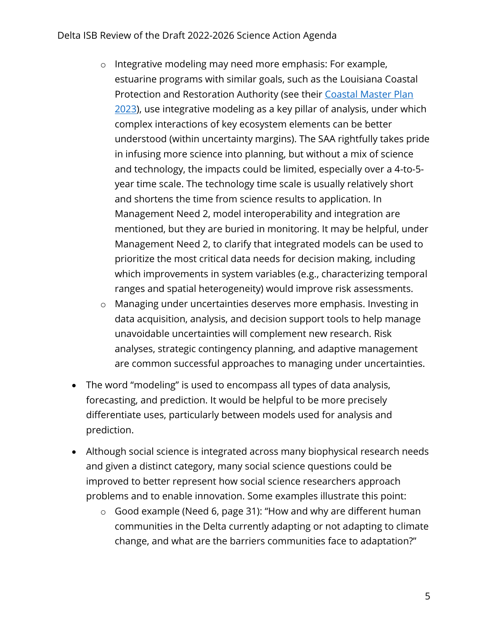- o Integrative modeling may need more emphasis: For example, estuarine programs with similar goals, such as the Louisiana Coastal Protection and Restoration Authority (see their [Coastal Master](https://coastal.la.gov/our-plan/2023-coastal-master-plan/) Plan [2023\)](https://coastal.la.gov/our-plan/2023-coastal-master-plan/), use integrative modeling as a key pillar of analysis, under which complex interactions of key ecosystem elements can be better understood (within uncertainty margins). The SAA rightfully takes pride in infusing more science into planning, but without a mix of science and technology, the impacts could be limited, especially over a 4-to-5 year time scale. The technology time scale is usually relatively short and shortens the time from science results to application. In Management Need 2, model interoperability and integration are mentioned, but they are buried in monitoring. It may be helpful, under Management Need 2, to clarify that integrated models can be used to prioritize the most critical data needs for decision making, including which improvements in system variables (e.g., characterizing temporal ranges and spatial heterogeneity) would improve risk assessments.
- o Managing under uncertainties deserves more emphasis. Investing in data acquisition, analysis, and decision support tools to help manage unavoidable uncertainties will complement new research. Risk analyses, strategic contingency planning, and adaptive management are common successful approaches to managing under uncertainties.
- The word "modeling" is used to encompass all types of data analysis, forecasting, and prediction. It would be helpful to be more precisely differentiate uses, particularly between models used for analysis and prediction.
- Although social science is integrated across many biophysical research needs and given a distinct category, many social science questions could be improved to better represent how social science researchers approach problems and to enable innovation. Some examples illustrate this point:
	- o Good example (Need 6, page 31): "How and why are different human communities in the Delta currently adapting or not adapting to climate change, and what are the barriers communities face to adaptation?"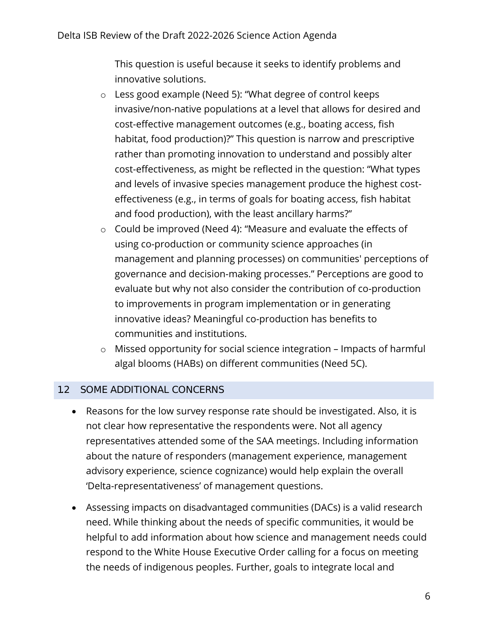This question is useful because it seeks to identify problems and innovative solutions.

- o Less good example (Need 5): "What degree of control keeps invasive/non-native populations at a level that allows for desired and cost-effective management outcomes (e.g., boating access, fish habitat, food production)?" This question is narrow and prescriptive rather than promoting innovation to understand and possibly alter cost-effectiveness, as might be reflected in the question: "What types and levels of invasive species management produce the highest costeffectiveness (e.g., in terms of goals for boating access, fish habitat and food production), with the least ancillary harms?"
- o Could be improved (Need 4): "Measure and evaluate the effects of using co-production or community science approaches (in management and planning processes) on communities' perceptions of governance and decision-making processes." Perceptions are good to evaluate but why not also consider the contribution of co-production to improvements in program implementation or in generating innovative ideas? Meaningful co-production has benefits to communities and institutions.
- o Missed opportunity for social science integration Impacts of harmful algal blooms (HABs) on different communities (Need 5C).

# 1.2 SOME ADDITIONAL CONCERNS

- Reasons for the low survey response rate should be investigated. Also, it is not clear how representative the respondents were. Not all agency representatives attended some of the SAA meetings. Including information about the nature of responders (management experience, management advisory experience, science cognizance) would help explain the overall 'Delta-representativeness' of management questions.
- Assessing impacts on disadvantaged communities (DACs) is a valid research need. While thinking about the needs of specific communities, it would be helpful to add information about how science and management needs could respond to the White House Executive Order calling for a focus on meeting the needs of indigenous peoples. Further, goals to integrate local and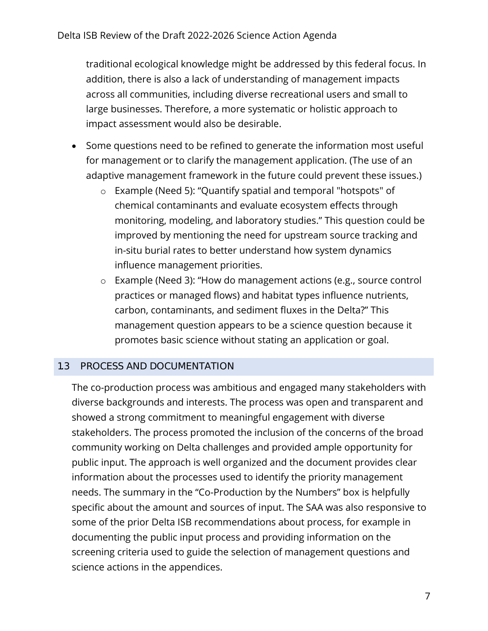traditional ecological knowledge might be addressed by this federal focus. In addition, there is also a lack of understanding of management impacts across all communities, including diverse recreational users and small to large businesses. Therefore, a more systematic or holistic approach to impact assessment would also be desirable.

- Some questions need to be refined to generate the information most useful for management or to clarify the management application. (The use of an adaptive management framework in the future could prevent these issues.)
	- o Example (Need 5): "Quantify spatial and temporal "hotspots" of chemical contaminants and evaluate ecosystem effects through monitoring, modeling, and laboratory studies." This question could be improved by mentioning the need for upstream source tracking and in-situ burial rates to better understand how system dynamics influence management priorities.
	- o Example (Need 3): "How do management actions (e.g., source control practices or managed flows) and habitat types influence nutrients, carbon, contaminants, and sediment fluxes in the Delta?" This management question appears to be a science question because it promotes basic science without stating an application or goal.

### 1.3 PROCESS AND DOCUMENTATION

The co-production process was ambitious and engaged many stakeholders with diverse backgrounds and interests. The process was open and transparent and showed a strong commitment to meaningful engagement with diverse stakeholders. The process promoted the inclusion of the concerns of the broad community working on Delta challenges and provided ample opportunity for public input. The approach is well organized and the document provides clear information about the processes used to identify the priority management needs. The summary in the "Co-Production by the Numbers" box is helpfully specific about the amount and sources of input. The SAA was also responsive to some of the prior Delta ISB recommendations about process, for example in documenting the public input process and providing information on the screening criteria used to guide the selection of management questions and science actions in the appendices.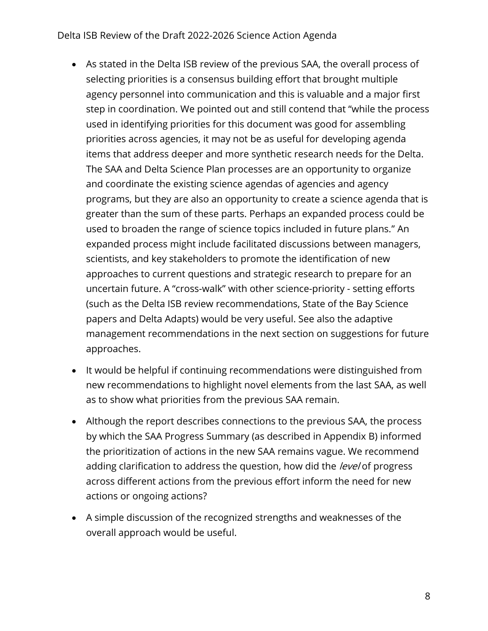#### Delta ISB Review of the Draft 2022-2026 Science Action Agenda

- As stated in the Delta ISB review of the previous SAA, the overall process of selecting priorities is a consensus building effort that brought multiple agency personnel into communication and this is valuable and a major first step in coordination. We pointed out and still contend that "while the process used in identifying priorities for this document was good for assembling priorities across agencies, it may not be as useful for developing agenda items that address deeper and more synthetic research needs for the Delta. The SAA and Delta Science Plan processes are an opportunity to organize and coordinate the existing science agendas of agencies and agency programs, but they are also an opportunity to create a science agenda that is greater than the sum of these parts. Perhaps an expanded process could be used to broaden the range of science topics included in future plans." An expanded process might include facilitated discussions between managers, scientists, and key stakeholders to promote the identification of new approaches to current questions and strategic research to prepare for an uncertain future. A "cross-walk" with other science-priority - setting efforts (such as the Delta ISB review recommendations, State of the Bay Science papers and Delta Adapts) would be very useful. See also the adaptive management recommendations in the next section on suggestions for future approaches.
- It would be helpful if continuing recommendations were distinguished from new recommendations to highlight novel elements from the last SAA, as well as to show what priorities from the previous SAA remain.
- Although the report describes connections to the previous SAA, the process by which the SAA Progress Summary (as described in Appendix B) informed the prioritization of actions in the new SAA remains vague. We recommend adding clarification to address the question, how did the level of progress across different actions from the previous effort inform the need for new actions or ongoing actions?
- A simple discussion of the recognized strengths and weaknesses of the overall approach would be useful.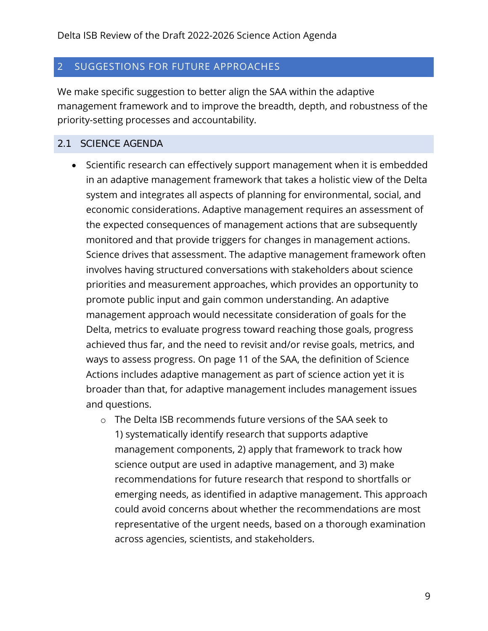## 2 SUGGESTIONS FOR FUTURE APPROACHES

We make specific suggestion to better align the SAA within the adaptive management framework and to improve the breadth, depth, and robustness of the priority-setting processes and accountability.

### 2.1 SCIENCE AGENDA

- Scientific research can effectively support management when it is embedded in an adaptive management framework that takes a holistic view of the Delta system and integrates all aspects of planning for environmental, social, and economic considerations. Adaptive management requires an assessment of the expected consequences of management actions that are subsequently monitored and that provide triggers for changes in management actions. Science drives that assessment. The adaptive management framework often involves having structured conversations with stakeholders about science priorities and measurement approaches, which provides an opportunity to promote public input and gain common understanding. An adaptive management approach would necessitate consideration of goals for the Delta, metrics to evaluate progress toward reaching those goals, progress achieved thus far, and the need to revisit and/or revise goals, metrics, and ways to assess progress. On page 11 of the SAA, the definition of Science Actions includes adaptive management as part of science action yet it is broader than that, for adaptive management includes management issues and questions.
	- o The Delta ISB recommends future versions of the SAA seek to 1) systematically identify research that supports adaptive management components, 2) apply that framework to track how science output are used in adaptive management, and 3) make recommendations for future research that respond to shortfalls or emerging needs, as identified in adaptive management. This approach could avoid concerns about whether the recommendations are most representative of the urgent needs, based on a thorough examination across agencies, scientists, and stakeholders.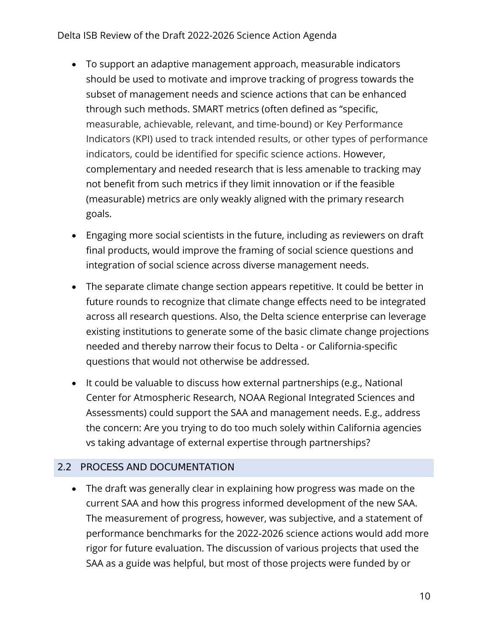### Delta ISB Review of the Draft 2022-2026 Science Action Agenda

- To support an adaptive management approach, measurable indicators should be used to motivate and improve tracking of progress towards the subset of management needs and science actions that can be enhanced through such methods. SMART metrics (often defined as "specific, measurable, achievable, relevant, and time-bound) or Key Performance Indicators (KPI) used to track intended results, or other types of performance indicators, could be identified for specific science actions. However, complementary and needed research that is less amenable to tracking may not benefit from such metrics if they limit innovation or if the feasible (measurable) metrics are only weakly aligned with the primary research goals.
- Engaging more social scientists in the future, including as reviewers on draft final products, would improve the framing of social science questions and integration of social science across diverse management needs.
- The separate climate change section appears repetitive. It could be better in future rounds to recognize that climate change effects need to be integrated across all research questions. Also, the Delta science enterprise can leverage existing institutions to generate some of the basic climate change projections needed and thereby narrow their focus to Delta - or California-specific questions that would not otherwise be addressed.
- It could be valuable to discuss how external partnerships (e.g., National Center for Atmospheric Research, NOAA Regional Integrated Sciences and Assessments) could support the SAA and management needs. E.g., address the concern: Are you trying to do too much solely within California agencies vs taking advantage of external expertise through partnerships?

### 2.2 PROCESS AND DOCUMENTATION

• The draft was generally clear in explaining how progress was made on the current SAA and how this progress informed development of the new SAA. The measurement of progress, however, was subjective, and a statement of performance benchmarks for the 2022-2026 science actions would add more rigor for future evaluation. The discussion of various projects that used the SAA as a guide was helpful, but most of those projects were funded by or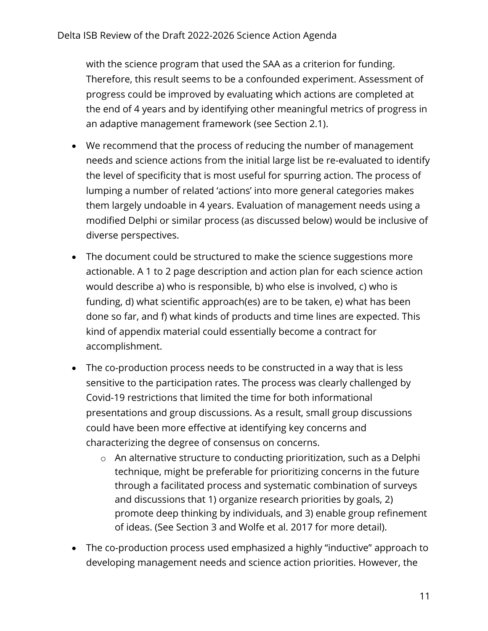with the science program that used the SAA as a criterion for funding. Therefore, this result seems to be a confounded experiment. Assessment of progress could be improved by evaluating which actions are completed at the end of 4 years and by identifying other meaningful metrics of progress in an adaptive management framework (see Section 2.1).

- We recommend that the process of reducing the number of management needs and science actions from the initial large list be re-evaluated to identify the level of specificity that is most useful for spurring action. The process of lumping a number of related 'actions' into more general categories makes them largely undoable in 4 years. Evaluation of management needs using a modified Delphi or similar process (as discussed below) would be inclusive of diverse perspectives.
- The document could be structured to make the science suggestions more actionable. A 1 to 2 page description and action plan for each science action would describe a) who is responsible, b) who else is involved, c) who is funding, d) what scientific approach(es) are to be taken, e) what has been done so far, and f) what kinds of products and time lines are expected. This kind of appendix material could essentially become a contract for accomplishment.
- The co-production process needs to be constructed in a way that is less sensitive to the participation rates. The process was clearly challenged by Covid-19 restrictions that limited the time for both informational presentations and group discussions. As a result, small group discussions could have been more effective at identifying key concerns and characterizing the degree of consensus on concerns.
	- o An alternative structure to conducting prioritization, such as a Delphi technique, might be preferable for prioritizing concerns in the future through a facilitated process and systematic combination of surveys and discussions that 1) organize research priorities by goals, 2) promote deep thinking by individuals, and 3) enable group refinement of ideas. (See Section 3 and Wolfe et al. 2017 for more detail).
- The co-production process used emphasized a highly "inductive" approach to developing management needs and science action priorities. However, the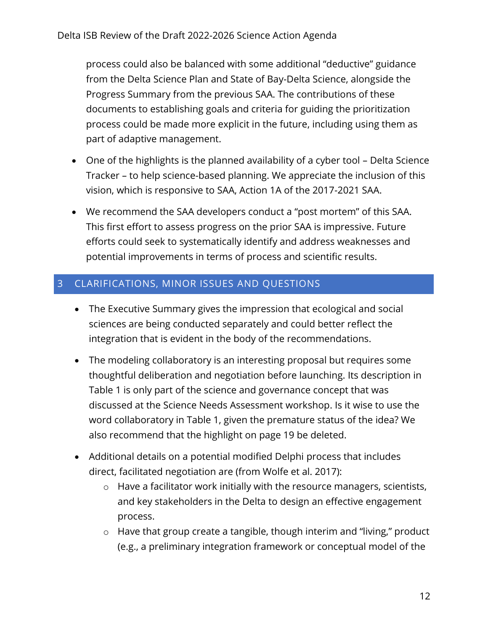process could also be balanced with some additional "deductive" guidance from the Delta Science Plan and State of Bay-Delta Science, alongside the Progress Summary from the previous SAA. The contributions of these documents to establishing goals and criteria for guiding the prioritization process could be made more explicit in the future, including using them as part of adaptive management.

- One of the highlights is the planned availability of a cyber tool Delta Science Tracker – to help science-based planning. We appreciate the inclusion of this vision, which is responsive to SAA, Action 1A of the 2017-2021 SAA.
- We recommend the SAA developers conduct a "post mortem" of this SAA. This first effort to assess progress on the prior SAA is impressive. Future efforts could seek to systematically identify and address weaknesses and potential improvements in terms of process and scientific results.

# 3 CLARIFICATIONS, MINOR ISSUES AND QUESTIONS

- The Executive Summary gives the impression that ecological and social sciences are being conducted separately and could better reflect the integration that is evident in the body of the recommendations.
- The modeling collaboratory is an interesting proposal but requires some thoughtful deliberation and negotiation before launching. Its description in Table 1 is only part of the science and governance concept that was discussed at the Science Needs Assessment workshop. Is it wise to use the word collaboratory in Table 1, given the premature status of the idea? We also recommend that the highlight on page 19 be deleted.
- Additional details on a potential modified Delphi process that includes direct, facilitated negotiation are (from Wolfe et al. 2017):
	- o Have a facilitator work initially with the resource managers, scientists, and key stakeholders in the Delta to design an effective engagement process.
	- o Have that group create a tangible, though interim and "living," product (e.g., a preliminary integration framework or conceptual model of the